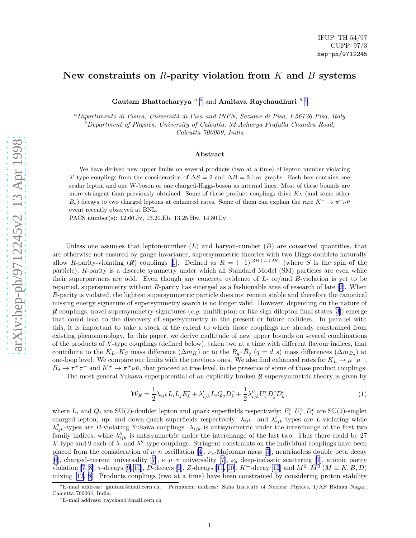## New constraints on  $R$ -parity violation from  $K$  and  $B$  systems

Gautam Bhattacharyya  $^{a,*}$  and Amitava Raychaudhuri  $^{b, \dagger}$ 

 $a$ Dipartimento di Fisica, Università di Pisa and INFN, Sezione di Pisa, I-56126 Pisa, Italy  $b$ Department of Physics, University of Calcutta, 92 Acharya Prafulla Chandra Road, Calcutta 700009, India

## Abstract

We have derived new upper limits on several products (two at a time) of lepton number violating  $\lambda'$ -type couplings from the consideration of  $\Delta S = 2$  and  $\Delta B = 2$  box graphs. Each box contains one scalar lepton and one W-boson or one charged-Higgs-boson as internal lines. Most of these bounds are more stringent than previously obtained. Some of these product couplings drive  $K_L$  (and some other  $B_d$ ) decays to two charged leptons at enhanced rates. Some of them can explain the rare  $K^+ \to \pi^+ \nu \bar{\nu}$ event recently observed at BNL.

PACS number(s): 12.60.Jv, 13.20.Eb, 13.25.Hw, 14.80.Ly

Unless one assumes that lepton-number  $(L)$  and baryon-number  $(B)$  are conserved quantities, that are otherwise not ensured by gauge invariance, supersymmetric theories with two Higgs doublets naturally allowR-parity-violating (R) couplings [[1\]](#page-3-0). Defined as  $R = (-1)^{(3B+L+2S)}$  (where S is the spin of the particle), R-parity is a discrete symmetry under which all Standard Model (SM) particles are even while their superpartners are odd. Even though any concrete evidence of L- or/and B-violation is yet to be reported, supersymmetry without R-parity has emerged as a fashionable area of research of late[[2\]](#page-3-0). When R-parity is violated, the lightest supersymmetric particle does not remain stable and therefore the canonical missing energy signature of supersymmetry search is no longer valid. However, depending on the nature of Rcouplings, novel supersymmetry signatures (e.g. multilepton or like-sign dilepton final states [[3\]](#page-3-0)) emerge that could lead to the discovery of supersymmetry in the present or future colliders. In parallel with this, it is important to take a stock of the extent to which those couplings are already constrained from existing phenomenology. In this paper, we derive multitude of new upper bounds on several combinations of the products of  $\lambda'$ -type couplings (defined below), taken two at a time with different flavour indices, that contribute to the  $K_L - K_S$  mass difference  $(\Delta m_K)$  or to the  $B_q - \bar{B}_q$   $(q = d, s)$  mass differences  $(\Delta m_{B_q})$  at one-loop level. We compare our limits with the previous ones. We also find enhanced rates for  $K_L \to \mu^+ \mu^-$ ,  $B_d \to \tau^+\tau^-$  and  $K^+ \to \pi^+\nu\bar{\nu}$ , that proceed at tree level, in the presence of some of those product couplings.

The most general Yukawa superpotential of an explicitly broken  $R$  supersymmetric theory is given by

$$
\mathcal{W}_{\mathcal{R}} = \frac{1}{2} \lambda_{ijk} L_i L_j E_k^c + \lambda'_{ijk} L_i Q_j D_k^c + \frac{1}{2} \lambda''_{ijk} U_i^c D_j^c D_k^c, \tag{1}
$$

where  $L_i$  and  $Q_i$  are SU(2)-doublet lepton and quark superfields respectively;  $E_i^c, U_i^c, D_i^c$  are SU(2)-singlet charged lepton, up- and down-quark superfields respectively;  $\lambda_{ijk}$ - and  $\lambda'_{ijk}$ -types are L-violating while  $\lambda''_{ijk}$ -types are B-violating Yukawa couplings.  $\lambda_{ijk}$  is antisymmetric under the interchange of the first two family indices, while  $\lambda''_{ijk}$  is antisymmetric under the interchange of the last two. Thus there could be 27  $\lambda'$ -type and 9 each of  $\lambda$ - and  $\lambda''$ -type couplings. Stringent constraints on the individual couplings have been placedfrom the consideration of  $n-\bar{n}$  oscillation [\[4](#page-3-0)],  $\nu_e$ -Majorana mass [[5\]](#page-3-0), neutrinoless double beta decay [[6\]](#page-3-0),charged-current universality [[7\]](#page-3-0),  $e-\mu-\tau$  universality [\[7](#page-3-0)],  $\nu_{\mu}$  deep-inelastic scattering [7], atomic parity violation [\[7](#page-3-0), [8\]](#page-3-0), $\tau$ -decays [[9, 10](#page-3-0)], D-decays [\[9](#page-3-0)], Z-decays [\[11](#page-3-0), [10\]](#page-3-0), K<sup>+</sup>-decay [\[12\]](#page-4-0) and  $M^{0}$ - $\bar{M}^{0}$  ( $M \equiv K, B, D$ ) mixing [\[12](#page-4-0), [8\]](#page-3-0). Products couplings (two at a time) have been constrained by considering proton stability

<sup>∗</sup>E-mail address: gautam@mail.cern.ch. Permanent address: Saha Institute of Nuclear Physics, 1/AF Bidhan Nagar, Calcutta 700064, India.

<sup>†</sup>E-mail address: raychaud@mail.cern.ch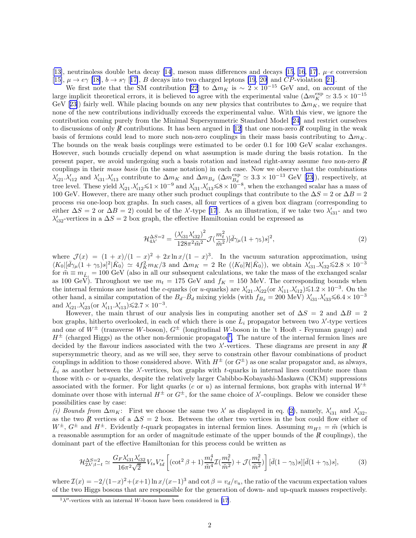<span id="page-1-0"></span>[[13\]](#page-4-0), neutrinoless double beta decay [\[14\]](#page-4-0), meson mass differences and decays [\[15](#page-4-0), [16](#page-4-0), [17\]](#page-4-0),  $\mu$ –e conversion [[15\]](#page-4-0), $\mu \rightarrow e\gamma$  [\[18\]](#page-4-0),  $b \rightarrow s\gamma$  [[17\]](#page-4-0), B decays into two charged leptons [\[19](#page-4-0), [20\]](#page-4-0) and CP-violation [[21\]](#page-4-0).

We first note that the SM contribution [\[22](#page-4-0)] to  $\Delta m_K$  is ~ 2 × 10<sup>-15</sup> GeV and, on account of the large implicit theoretical errors, it is believed to agree with the experimental value  $(\Delta m_K^{\text{exp}} \simeq 3.5 \times 10^{-15}$ GeV[[23\]](#page-4-0)) fairly well. While placing bounds on any new physics that contributes to  $\Delta m_K$ , we require that none of the new contributions individually exceeds the experimental value. With this view, we ignore the contribution coming purely from the Minimal Supersymmetric Standard Model[[24\]](#page-4-0) and restrict ourselves todiscussions of only R contributions. It has been argued in [[12\]](#page-4-0) that one non-zero R coupling in the weak basis of fermions could lead to more such non-zero couplings in their mass basis contributing to  $\Delta m_K$ . The bounds on the weak basis couplings were estimated to be order 0.1 for 100 GeV scalar exchanges. However, such bounds crucially depend on what assumption is made during the basis rotation. In the present paper, we avoid undergoing such a basis rotation and instead right-away assume two non-zero  $\vec{R}$ couplings in their mass basis (in the same notation) in each case. Now we observe that the combinations  $\lambda'_{i21}$ , $\lambda'_{i12}$  and  $\lambda'_{i31}$ ,  $\lambda'_{i13}$  contribute to  $\Delta m_K$  and  $\Delta m_{B_d}$  ( $\Delta m_{B_d}^{exp} \simeq 3.3 \times 10^{-13}$  GeV [[23\]](#page-4-0)), respectively, at tree level. These yield  $\lambda'_{i21} \lambda'_{i12} \leq 1 \times 10^{-9}$  and  $\lambda'_{i31} \lambda'_{i13} \leq 8 \times 10^{-8}$ , when the exchanged scalar has a mass of 100 GeV. However, there are many other such product couplings that contribute to the  $\Delta S = 2$  or  $\Delta B = 2$ process via one-loop box graphs. In such cases, all four vertices of a given box diagram (corresponding to either  $\Delta S = 2$  or  $\Delta B = 2$ ) could be of the  $\lambda'$ -type [\[17](#page-4-0)]. As an illustration, if we take two  $\lambda'_{i31}$ - and two  $\lambda'_{i32}$ -vertices in a  $\Delta S = 2$  box graph, the effective Hamiltonian could be expressed as

$$
\mathcal{H}^{\Delta S=2}_{4\lambda'} = \frac{(\lambda'_{i31}\lambda'_{i32})^2}{128\pi^2\tilde{m}^2}\mathcal{J}(\frac{m_t^2}{\tilde{m}^2})[\bar{d}\gamma_\mu(1+\gamma_5)s]^2,
$$
\n(2)

where  $\mathcal{J}(x) = (1+x)/(1-x)^2 + 2x\ln(x)/(1-x)^3$ . In the vacuum saturation approximation, using  $\langle K_0 | [\bar{d}\gamma_\mu (1+\gamma_5)s]^2 | \bar{K}_0 \rangle \simeq 4f_K^2 m_K/3$  and  $\Delta m_K = 2$  Re  $(\langle K_0 | \mathcal{H} | \bar{K}_0 \rangle)$ , we obtain  $\lambda'_{i31} \lambda'_{i32} \leq 2.8 \times 10^{-3}$ for  $\tilde{m} \equiv m_{\tilde{L}_i} = 100$  GeV (also in all our subsequent calculations, we take the mass of the exchanged scalar as 100 GeV). Throughout we use  $m_t = 175$  GeV and  $f_K = 150$  MeV. The corresponding bounds when the internal fermions are instead the c-quarks (or u-quarks) are  $\lambda'_{i21}$ ,  $\lambda'_{i22}$  (or  $\lambda'_{i11}$ ,  $\lambda'_{i12}$ )  $\leq 1.2 \times 10^{-3}$ . On the other hand, a similar computation of the  $B_d-\bar{B}_d$  mixing yields (with  $f_{B_d} = 200 \text{ MeV}$ )  $\lambda'_{i31} \lambda'_{i33} \leq 6.4 \times 10^{-3}$ and  $\lambda'_{i21} \cdot \lambda'_{i23}$  (or  $\lambda'_{i11} \cdot \lambda'_{i13}$ )  $\leq 2.7 \times 10^{-3}$ .

However, the main thrust of our analysis lies in computing another set of  $\Delta S = 2$  and  $\Delta B = 2$ box graphs, hitherto overlooked, in each of which there is one  $\tilde{L}_i$  propagator between two  $\lambda'$ -type vertices and one of  $W^{\pm}$  (transverse W-boson),  $G^{\pm}$  (longitudinal W-boson in the 't Hooft - Feynman gauge) and  $H^{\pm}$  (charged Higgs) as the other non-fermionic propagator<sup>1</sup>. The nature of the internal fermion lines are decided by the flavour indices associated with the two  $\lambda'$ -vertices. These diagrams are present in any  $\beta$ supersymmetric theory, and as we will see, they serve to constrain other flavour combinations of product couplings in addition to those considered above. With  $H^{\pm}$  (or  $G^{\pm}$ ) as one scalar propagator and, as always,  $\tilde{L}_i$  as another between the  $\lambda'$ -vertices, box graphs with t-quarks in internal lines contribute more than those with c- or u-quarks, despite the relatively larger Cabibbo-Kobayashi-Maskawa (CKM) suppressions associated with the former. For light quarks (c or u) as internal fermions, box graphs with internal  $W^{\pm}$ dominate over those with internal  $H^{\pm}$  or  $G^{\pm}$ , for the same choice of  $\lambda'$ -couplings. Below we consider these possibilities case by case:

(i) Bounds from  $\Delta m_K$ : First we choose the same two  $\lambda'$  as displayed in eq. (2), namely,  $\lambda'_{i31}$  and  $\lambda'_{i32}$ , as the two R vertices of a  $\Delta S = 2$  box. Between the other two vertices in the box could flow either of  $W^{\pm}$ ,  $G^{\pm}$  and  $H^{\pm}$ . Evidently t-quark propagates in internal fermion lines. Assuming  $m_{H^{\pm}} = \tilde{m}$  (which is a reasonable assumption for an order of magnitude estimate of the upper bounds of the  $\mathbb{R}$  couplings), the dominant part of the effective Hamiltonian for this process could be written as

$$
\mathcal{H}_{2\lambda';t-t}^{\Delta S=2} \simeq \frac{G_F \lambda'_{i31} \lambda'_{i32}}{16\pi^2 \sqrt{2}} V_{ts} V_{td}^* \left[ (\cot^2 \beta + 1) \frac{m_t^4}{\tilde{m}^4} \mathcal{I}(\frac{m_t^2}{\tilde{m}^2}) + \mathcal{J}(\frac{m_t^2}{\tilde{m}^2}) \right] [\bar{d}(1-\gamma_5)s][\bar{d}(1+\gamma_5)s],\tag{3}
$$

where  $\mathcal{I}(x) = -2/(1-x)^2 + (x+1)\ln x/(x-1)^3$  and  $\cot \beta = v_d/v_u$ , the ratio of the vacuum expectation values of the two Higgs bosons that are responsible for the generation of down- and up-quark masses respectively.

 $1\lambda''$ -vertices with an internal W-boson have been considered in [\[17\]](#page-4-0).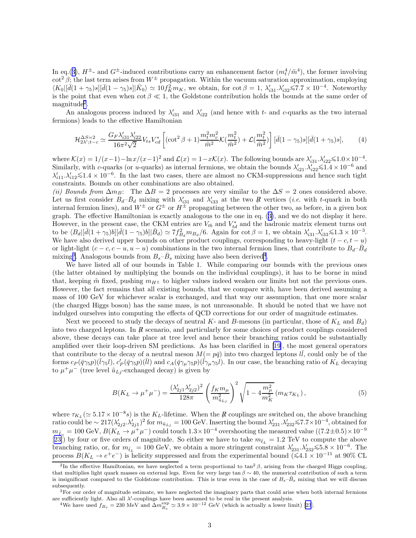In eq.([3\)](#page-1-0),  $H^{\pm}$ - and  $G^{\pm}$ -induced contributions carry an enhancement factor  $(m_t^4/\tilde{m}^4)$ , the former involving  $\cot^2 \beta$ ; the last term arises from  $W^{\pm}$  propagation. Within the vacuum saturation approximation, employing  $\langle K_0 | [\bar{d}(1+\gamma_5)s][\bar{d}(1-\gamma_5)s] | \bar{K}_0 \rangle \simeq 10 f_K^2 m_K$ , we obtain, for  $\cot \beta = 1$ ,  $\lambda'_{i31} \lambda'_{i32} \leq 7.7 \times 10^{-4}$ . Noteworthy is the point that even when  $\cot \beta \ll 1$ , the Goldstone contribution holds the bounds at the same order of  $magnitude<sup>2</sup>$ .

An analogous process induced by  $\lambda'_{i31}$  and  $\lambda'_{i22}$  (and hence with t- and c-quarks as the two internal fermions) leads to the effective Hamiltonian

$$
\mathcal{H}_{2\lambda';t-c}^{\Delta S=2} \simeq \frac{G_F \lambda'_{i31} \lambda'_{i22}}{16\pi^2 \sqrt{2}} V_{ts} V_{cd}^* \left[ (\cot^2 \beta + 1) \frac{m_t^2 m_c^2}{\tilde{m}^2} \mathcal{K}(\frac{m_t^2}{\tilde{m}^2}) + \mathcal{L}(\frac{m_t^2}{\tilde{m}^2}) \right] [\bar{d}(1-\gamma_5)s][\bar{d}(1+\gamma_5)s],\tag{4}
$$

where  $\mathcal{K}(x) = 1/(x-1) - \ln(x/(x-1))^2$  and  $\mathcal{L}(x) = 1-x\mathcal{K}(x)$ . The following bounds are  $\lambda'_{311}$ ,  $\lambda'_{322} \le 1.0 \times 10^{-4}$ . Similarly, with c-quarks (or u-quarks) as internal fermions, we obtain the bounds  $\lambda'_{i21} \cdot \lambda'_{i22} \leq 1.4 \times 10^{-6}$  and  $\lambda'_{i21} \cdot \lambda'_{i22} \leq 1.4 \times 10^{-6}$  $\lambda'_{i11} \lambda'_{i12} \leq 1.4 \times 10^{-6}$ . In the last two cases, there are almost no CKM-suppressions and hence such tight constraints. Bounds on other combinations are also obtained.

(ii) Bounds from  $\Delta m_B$ : The  $\Delta B = 2$  processes are very similar to the  $\Delta S = 2$  ones considered above. Let us first consider  $B_d-\bar{B}_d$  mixing with  $\lambda'_{i31}$  and  $\lambda'_{i33}$  at the two R vertices (*i.e.* with t-quark in both internal fermion lines), and  $W^{\pm}$  or  $G^{\pm}$  or  $H^{\pm}$  propagating between the other two, as before, in a given box graph. The effective Hamiltonian is exactly analogous to the one in eq. ([3\)](#page-1-0), and we do not display it here. However, in the present case, the CKM entries are  $V_{tb}$  and  $V_{td}^*$  and the hadronic matrix element turns out to be  $\langle B_d | [\bar{d}(1 + \gamma_5) b] [\bar{d}(1 - \gamma_5) b] | \bar{B}_d \rangle \simeq 7 f_{B_d}^2 m_{B_d} / 6$ . Again for  $\cot \beta = 1$ , we obtain  $\lambda'_{i31} \lambda'_{i33} \leq 1.3 \times 10^{-3}$ . We have also derived upper bounds on other product couplings, corresponding to heavy-light  $(t - c, t - u)$ or light-light  $(c - c, c - u, u - u)$  combinations in the two internal fermion lines, that contribute to  $B_d-\overline{B}_d$ mixing<sup>3</sup>. Analogous bounds from  $B_s - \bar{B}_s$  mixing have also been derived<sup>4</sup>.

We have listed all of our bounds in Table 1. While comparing our bounds with the previous ones (the latter obtained by multiplying the bounds on the individual couplings), it has to be borne in mind that, keeping  $\tilde{m}$  fixed, pushing  $m_{H<sup>\pm</sup>}$  to higher values indeed weaken our limits but not the previous ones. However, the fact remains that all existing bounds, that we compare with, have been derived assuming a mass of 100 GeV for whichever scalar is exchanged, and that way our assumption, that one more scalar (the charged Higgs boson) has the same mass, is not unreasonable. It should be noted that we have not indulged ourselves into computing the effects of QCD corrections for our order of magnitude estimates.

Next we proceed to study the decays of neutral K- and B-mesons (in particular, those of  $K_L$  and  $B_d$ ) into two charged leptons. In R<sub>6</sub> scenario, and particularly for some choices of product couplings considered above, these decays can take place at tree level and hence their branching ratios could be substantially amplified over their loop-driven SM predictions. As has been clarified in [\[19](#page-4-0)], the most general operators that contribute to the decay of a neutral meson  $M(=p\bar{q})$  into two charged leptons  $l\bar{l}$ , could only be of the forms  $c_P(\bar{q}\gamma_5p)(\bar{l}\gamma_5l)$ ,  $c'_P(\bar{q}\gamma_5p)(\bar{l}l)$  and  $c_A(\bar{q}\gamma_\mu\gamma_5p)(\bar{l}\gamma_\mu\gamma_5l)$ . In our case, the branching ratio of  $K_L$  decaying to  $\mu^+\mu^-$  (tree level  $\tilde{u}_{Lj}$ -exchanged decay) is given by

$$
B(K_L \to \mu^+ \mu^-) = \frac{(\lambda'_{2j1} \lambda'_{2j2})^2}{128\pi} \left(\frac{f_K m_\mu}{m_{\tilde{u}_{Lj}}^2}\right)^2 \sqrt{1 - 4\frac{m_\mu^2}{m_K^2}} (m_K \tau_{K_L}), \tag{5}
$$

where  $\tau_{K_L} (\simeq 5.17 \times 10^{-8} s)$  is the K<sub>L</sub>-lifetime. When the R couplings are switched on, the above branching ratio could be ~  $217(\lambda'_{2j2}.\lambda'_{2j1})^2$  for  $m_{\tilde{u}_{Lj}} = 100 \text{ GeV}$ . Inserting the bound  $\lambda'_{231}.\lambda'_{232} \le 7.7 \times 10^{-4}$ , obtained for  $m_{\tilde{L}_{\tilde{E}}} = 100 \text{ GeV}, B(K_L \to \mu^+ \mu^-)$  could touch  $1.3 \times 10^{-4}$  overshooting the measured value  $((7.2 \pm 0.5) \times 10^{-9}$ [[23\]](#page-4-0)) by four or five orders of magnitude. So either we have to take  $m_{\tilde{t}_L} = 1.2$  TeV to compute the above branching ratio, or, for  $m_{\tilde{t}_L} = 100 \text{ GeV}$ , we obtain a more stringent constraint  $\lambda'_{231} \lambda'_{232} \le 5.8 \times 10^{-6}$ . The process  $B(K_L \to e^+e^-)$  is helicity suppressed and from the experimental bound ( $\leq 4.1 \times 10^{-11}$  at 90% CL

<sup>&</sup>lt;sup>2</sup>In the effective Hamiltonian, we have neglected a term proportional to  $\tan^2 \beta$ , arising from the charged Higgs coupling, that multiplies light quark masses on external legs. Even for very large tan  $\beta \sim 40$ , the numerical contribution of such a term is insignificant compared to the Goldstone contribution. This is true even in the case of  $B_s-B_s$  mixing that we will discuss subsequently.

 $3$ For our order of magnitude estimate, we have neglected the imaginary parts that could arise when both internal fermions are sufficiently light. Also all  $\lambda'$ -couplings have been assumed to be real in the present analysis.

<sup>&</sup>lt;sup>4</sup>Wehave used  $f_{B_s} = 230$  $f_{B_s} = 230$  $f_{B_s} = 230$  MeV and  $\Delta m_{B_s}^{\text{exp}} \simeq 3.9 \times 10^{-12}$  GeV (which is actually a lower limit) [23].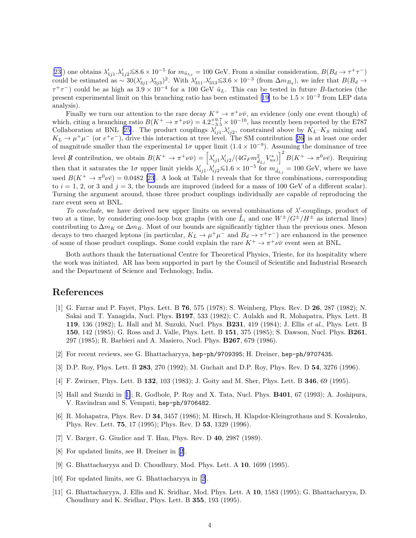<span id="page-3-0"></span>[[23\]](#page-4-0)) one obtains  $\lambda'_{1j1} \cdot \lambda'_{1j2} \le 8.6 \times 10^{-5}$  for  $m_{\tilde{u}_{Lj}} = 100$  GeV. From a similar consideration,  $B(B_d \to \tau^+\tau^-)$ could be estimated as  $\sim 30(\lambda'_{3j1} \lambda'_{3j3})^2$ . With  $\lambda'_{311} \lambda'_{313} \leq 3.6 \times 10^{-3}$  (from  $\Delta m_{B_d}$ ), we infer that  $B(B_d \rightarrow$  $\tau^+\tau^-$ ) could be as high as  $3.9 \times 10^{-4}$  for a 100 GeV  $\tilde{u}_L$ . This can be tested in future B-factories (the presentexperimental limit on this branching ratio has been estimated [[19\]](#page-4-0) to be  $1.5 \times 10^{-2}$  from LEP data analysis).

Finally we turn our attention to the rare decay  $K^+ \to \pi^+ \nu \bar{\nu}$ , an evidence (only one event though) of which, citing a branching ratio  $B(K^+ \to \pi^+ \nu \bar{\nu}) = 4.2^{+9.7}_{-3.5} \times 10^{-10}$ , has recently been reported by the E787 Collaboration at BNL [\[25\]](#page-4-0). The product couplings  $\lambda'_{ij1} \cdot \lambda'_{ij2}$ , constrained above by  $K_L - K_S$  mixing and  $K_L \to \mu^+\mu^-$  (or  $e^+e^-$ ), drive this interaction at tree level. The SM contribution [\[26](#page-4-0)] is at least one order of magnitude smaller than the experimental  $1\sigma$  upper limit  $(1.4 \times 10^{-9})$ . Assuming the dominance of tree level R contribution, we obtain  $B(K^+ \to \pi^+ \nu \bar{\nu}) = \left[ \lambda'_{ij1} \lambda'_{ij2} / (4G_F m_{\tilde{d}_{Lj}}^2 V_{us}^*) \right]^2 B(K^+ \to \pi^0 \nu \bar{e}).$  Requiring then that it saturates the 1 $\sigma$  upper limit yields  $\lambda'_{ij1} \cdot \lambda'_{ij2} \leq 1.6 \times 10^{-5}$  for  $m_{\tilde{d}_{Lj}} = 100$  GeV, where we have used  $B(K^+ \to \pi^0 \nu\bar{e}) = 0.0482$  [\[23](#page-4-0)]. A look at Table 1 reveals that for three combinations, corresponding to  $i = 1, 2$ , or 3 and  $j = 3$ , the bounds are improved (indeed for a mass of 100 GeV of a different scalar). Turning the argument around, those three product couplings individually are capable of reproducing the rare event seen at BNL.

To conclude, we have derived new upper limits on several combinations of  $\lambda'$ -couplings, product of two at a time, by considering one-loop box graphs (with one  $\tilde{L}_i$  and one  $W^{\pm}/G^{\pm}/H^{\pm}$  as internal lines) contributing to  $\Delta m_K$  or  $\Delta m_B$ . Most of our bounds are significantly tighter than the previous ones. Meson decays to two charged leptons (in particular,  $K_L \to \mu^+\mu^-$  and  $B_d \to \tau^+\tau^-$ ) are enhanced in the presence of some of those product couplings. Some could explain the rare  $K^+ \to \pi^+ \nu \bar{\nu}$  event seen at BNL.

Both authors thank the International Centre for Theoretical Physics, Trieste, for its hospitality where the work was initiated. AR has been supported in part by the Council of Scientific and Industrial Research and the Department of Science and Technology, India.

## References

- [1] G. Farrar and P. Fayet, Phys. Lett. B 76, 575 (1978); S. Weinberg, Phys. Rev. D 26, 287 (1982); N. Sakai and T. Yanagida, Nucl. Phys. B197, 533 (1982); C. Aulakh and R. Mohapatra, Phys. Lett. B 119, 136 (1982); L. Hall and M. Suzuki, Nucl. Phys. B231, 419 (1984); J. Ellis et al., Phys. Lett. B 150, 142 (1985); G. Ross and J. Valle, Phys. Lett. B 151, 375 (1985); S. Dawson, Nucl. Phys. B261, 297 (1985); R. Barbieri and A. Masiero, Nucl. Phys. B267, 679 (1986).
- [2] For recent reviews, see G. Bhattacharyya, hep-ph/9709395; H. Dreiner, hep-ph/9707435.
- [3] D.P. Roy, Phys. Lett. B 283, 270 (1992); M. Guchait and D.P. Roy, Phys. Rev. D 54, 3276 (1996).
- [4] F. Zwirner, Phys. Lett. B 132, 103 (1983); J. Goity and M. Sher, Phys. Lett. B 346, 69 (1995).
- [5] Hall and Suzuki in [1]; R. Godbole, P. Roy and X. Tata, Nucl. Phys. B401, 67 (1993); A. Joshipura, V. Ravindran and S. Vempati, hep-ph/9706482.
- [6] R. Mohapatra, Phys. Rev. D 34, 3457 (1986); M. Hirsch, H. Klapdor-Kleingrothaus and S. Kovalenko, Phys. Rev. Lett. 75, 17 (1995); Phys. Rev. D 53, 1329 (1996).
- [7] V. Barger, G. Giudice and T. Han, Phys. Rev. D 40, 2987 (1989).
- [8] For updated limits, see H. Dreiner in [2].
- [9] G. Bhattacharyya and D. Choudhury, Mod. Phys. Lett. A 10, 1699 (1995).
- [10] For updated limits, see G. Bhattacharyya in [2].
- [11] G. Bhattacharyya, J. Ellis and K. Sridhar, Mod. Phys. Lett. A 10, 1583 (1995); G. Bhattacharyya, D. Choudhury and K. Sridhar, Phys. Lett. B 355, 193 (1995).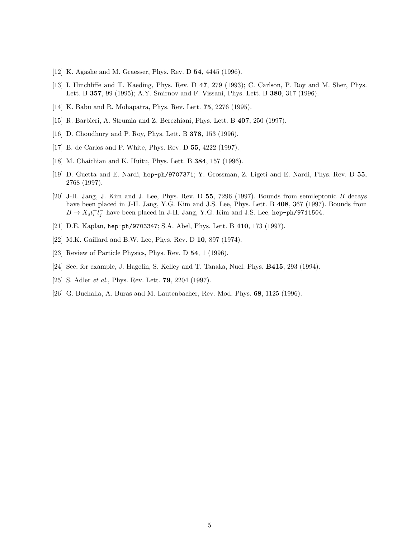- <span id="page-4-0"></span>[12] K. Agashe and M. Graesser, Phys. Rev. D **54**, 4445 (1996).
- [13] I. Hinchliffe and T. Kaeding, Phys. Rev. D 47, 279 (1993); C. Carlson, P. Roy and M. Sher, Phys. Lett. B 357, 99 (1995); A.Y. Smirnov and F. Vissani, Phys. Lett. B 380, 317 (1996).
- [14] K. Babu and R. Mohapatra, Phys. Rev. Lett. 75, 2276 (1995).
- [15] R. Barbieri, A. Strumia and Z. Berezhiani, Phys. Lett. B 407, 250 (1997).
- [16] D. Choudhury and P. Roy, Phys. Lett. B 378, 153 (1996).
- [17] B. de Carlos and P. White, Phys. Rev. D 55, 4222 (1997).
- [18] M. Chaichian and K. Huitu, Phys. Lett. B **384**, 157 (1996).
- [19] D. Guetta and E. Nardi, hep-ph/9707371; Y. Grossman, Z. Ligeti and E. Nardi, Phys. Rev. D 55, 2768 (1997).
- [20] J-H. Jang, J. Kim and J. Lee, Phys. Rev. D 55, 7296 (1997). Bounds from semileptonic B decays have been placed in J-H. Jang, Y.G. Kim and J.S. Lee, Phys. Lett. B 408, 367 (1997). Bounds from  $B \to X_s l_i^+ l_j^-$  have been placed in J-H. Jang, Y.G. Kim and J.S. Lee, hep-ph/9711504.
- [21] D.E. Kaplan, hep-ph/9703347; S.A. Abel, Phys. Lett. B 410, 173 (1997).
- [22] M.K. Gaillard and B.W. Lee, Phys. Rev. D 10, 897 (1974).
- [23] Review of Particle Physics, Phys. Rev. D 54, 1 (1996).
- [24] See, for example, J. Hagelin, S. Kelley and T. Tanaka, Nucl. Phys. B415, 293 (1994).
- [25] S. Adler *et al.*, Phys. Rev. Lett. **79**, 2204 (1997).
- [26] G. Buchalla, A. Buras and M. Lautenbacher, Rev. Mod. Phys. 68, 1125 (1996).